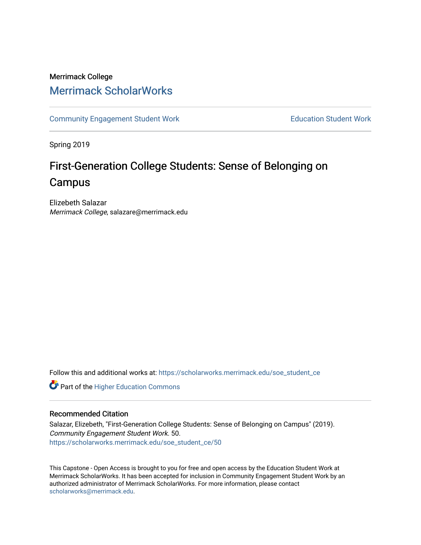# Merrimack College [Merrimack ScholarWorks](https://scholarworks.merrimack.edu/)

[Community Engagement Student Work](https://scholarworks.merrimack.edu/soe_student_ce) **Education Student Work** Education Student Work

Spring 2019

# First-Generation College Students: Sense of Belonging on Campus

Elizebeth Salazar Merrimack College, salazare@merrimack.edu

Follow this and additional works at: [https://scholarworks.merrimack.edu/soe\\_student\\_ce](https://scholarworks.merrimack.edu/soe_student_ce?utm_source=scholarworks.merrimack.edu%2Fsoe_student_ce%2F50&utm_medium=PDF&utm_campaign=PDFCoverPages) 

**Part of the Higher Education Commons** 

# Recommended Citation

Salazar, Elizebeth, "First-Generation College Students: Sense of Belonging on Campus" (2019). Community Engagement Student Work. 50. [https://scholarworks.merrimack.edu/soe\\_student\\_ce/50](https://scholarworks.merrimack.edu/soe_student_ce/50?utm_source=scholarworks.merrimack.edu%2Fsoe_student_ce%2F50&utm_medium=PDF&utm_campaign=PDFCoverPages)

This Capstone - Open Access is brought to you for free and open access by the Education Student Work at Merrimack ScholarWorks. It has been accepted for inclusion in Community Engagement Student Work by an authorized administrator of Merrimack ScholarWorks. For more information, please contact [scholarworks@merrimack.edu](mailto:scholarworks@merrimack.edu).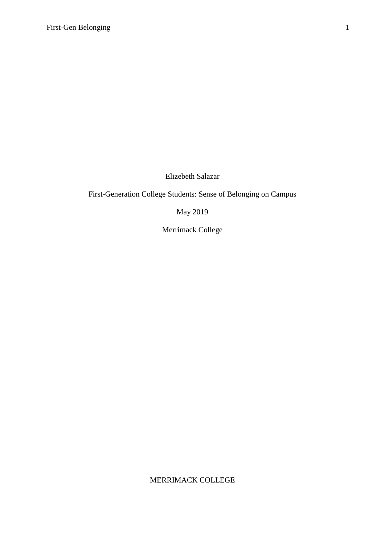Elizebeth Salazar

First-Generation College Students: Sense of Belonging on Campus

**May 2019** 

Merrimack College

MERRIMACK COLLEGE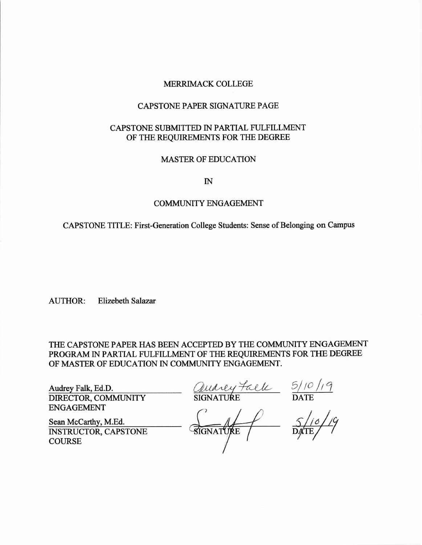#### MERRIMACK COLLEGE

#### **CAPSTONE PAPER SIGNATURE PAGE**

# CAPSTONE SUBMITTED IN PARTIAL FULFILLMENT OF THE REQUIREMENTS FOR THE DEGREE

# **MASTER OF EDUCATION**

 $\mathbb{N}$ 

#### **COMMUNITY ENGAGEMENT**

CAPSTONE TITLE: First-Generation College Students: Sense of Belonging on Campus

**Elizebeth Salazar AUTHOR:** 

THE CAPSTONE PAPER HAS BEEN ACCEPTED BY THE COMMUNITY ENGAGEMENT PROGRAM IN PARTIAL FULFILLMENT OF THE REQUIREMENTS FOR THE DEGREE OF MASTER OF EDUCATION IN COMMUNITY ENGAGEMENT.

Audrey Falk, Ed.D. DIRECTOR, COMMUNITY **ENGAGEMENT** 

Quarey Faele 5/10/19

Sean McCarthy, M.Ed. **INSTRUCTOR, CAPSTONE COURSE** 

SIGNATURE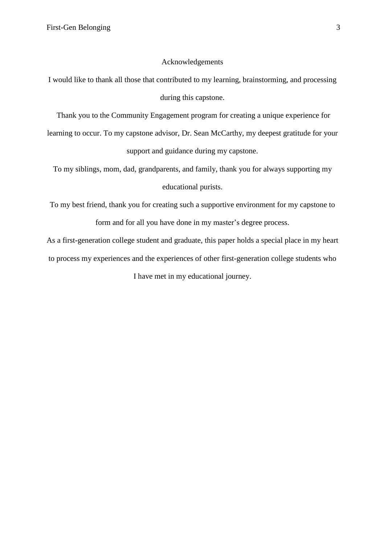#### Acknowledgements

I would like to thank all those that contributed to my learning, brainstorming, and processing during this capstone.

Thank you to the Community Engagement program for creating a unique experience for

learning to occur. To my capstone advisor, Dr. Sean McCarthy, my deepest gratitude for your support and guidance during my capstone.

To my siblings, mom, dad, grandparents, and family, thank you for always supporting my educational purists.

To my best friend, thank you for creating such a supportive environment for my capstone to form and for all you have done in my master's degree process.

As a first-generation college student and graduate, this paper holds a special place in my heart to process my experiences and the experiences of other first-generation college students who I have met in my educational journey.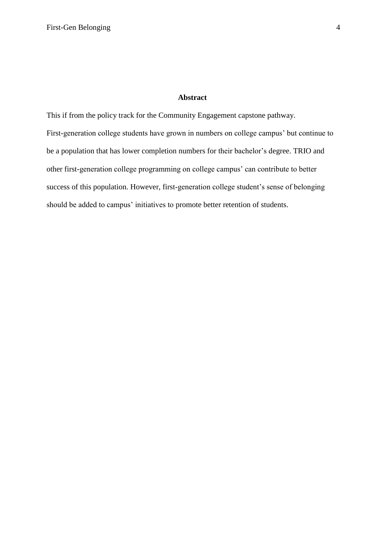# **Abstract**

This if from the policy track for the Community Engagement capstone pathway. First-generation college students have grown in numbers on college campus' but continue to be a population that has lower completion numbers for their bachelor's degree. TRIO and other first-generation college programming on college campus' can contribute to better success of this population. However, first-generation college student's sense of belonging should be added to campus' initiatives to promote better retention of students.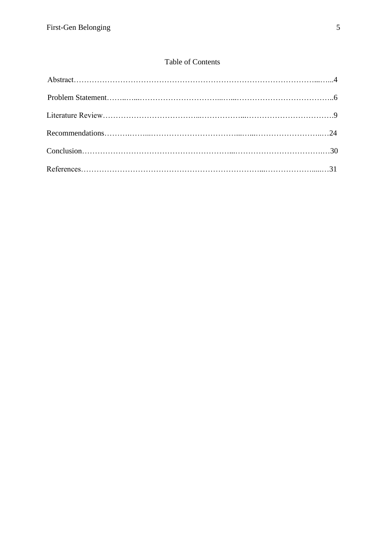# Table of Contents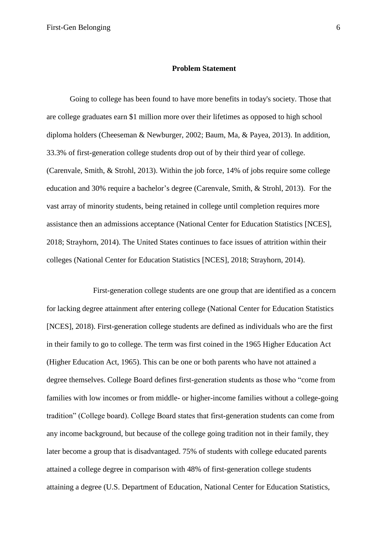#### **Problem Statement**

Going to college has been found to have more benefits in today's society. Those that are college graduates earn \$1 million more over their lifetimes as opposed to high school diploma holders (Cheeseman & Newburger, 2002; Baum, Ma, & Payea, 2013). In addition, 33.3% of first-generation college students drop out of by their third year of college. (Carenvale, Smith, & Strohl, 2013). Within the job force, 14% of jobs require some college education and 30% require a bachelor's degree (Carenvale, Smith, & Strohl, 2013). For the vast array of minority students, being retained in college until completion requires more assistance then an admissions acceptance (National Center for Education Statistics [NCES], 2018; Strayhorn, 2014). The United States continues to face issues of attrition within their colleges (National Center for Education Statistics [NCES], 2018; Strayhorn, 2014).

First-generation college students are one group that are identified as a concern for lacking degree attainment after entering college (National Center for Education Statistics [NCES], 2018). First-generation college students are defined as individuals who are the first in their family to go to college. The term was first coined in the 1965 Higher Education Act (Higher Education Act, 1965). This can be one or both parents who have not attained a degree themselves. College Board defines first-generation students as those who "come from families with low incomes or from middle- or higher-income families without a college-going tradition" (College board). College Board states that first-generation students can come from any income background, but because of the college going tradition not in their family, they later become a group that is disadvantaged. 75% of students with college educated parents attained a college degree in comparison with 48% of first-generation college students attaining a degree (U.S. Department of Education, National Center for Education Statistics,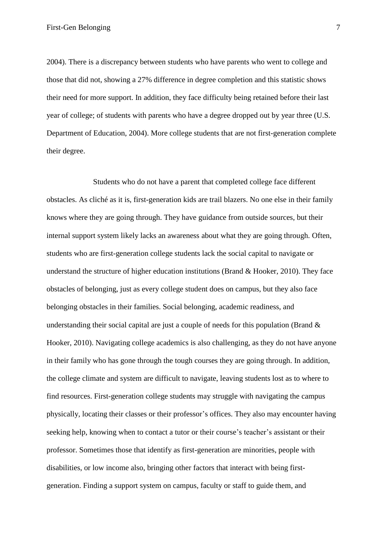2004). There is a discrepancy between students who have parents who went to college and those that did not, showing a 27% difference in degree completion and this statistic shows their need for more support. In addition, they face difficulty being retained before their last year of college; of students with parents who have a degree dropped out by year three (U.S. Department of Education, 2004). More college students that are not first-generation complete their degree.

Students who do not have a parent that completed college face different obstacles. As cliché as it is, first-generation kids are trail blazers. No one else in their family knows where they are going through. They have guidance from outside sources, but their internal support system likely lacks an awareness about what they are going through. Often, students who are first-generation college students lack the social capital to navigate or understand the structure of higher education institutions (Brand & Hooker, 2010). They face obstacles of belonging, just as every college student does on campus, but they also face belonging obstacles in their families. Social belonging, academic readiness, and understanding their social capital are just a couple of needs for this population (Brand  $\&$ Hooker, 2010). Navigating college academics is also challenging, as they do not have anyone in their family who has gone through the tough courses they are going through. In addition, the college climate and system are difficult to navigate, leaving students lost as to where to find resources. First-generation college students may struggle with navigating the campus physically, locating their classes or their professor's offices. They also may encounter having seeking help, knowing when to contact a tutor or their course's teacher's assistant or their professor. Sometimes those that identify as first-generation are minorities, people with disabilities, or low income also, bringing other factors that interact with being firstgeneration. Finding a support system on campus, faculty or staff to guide them, and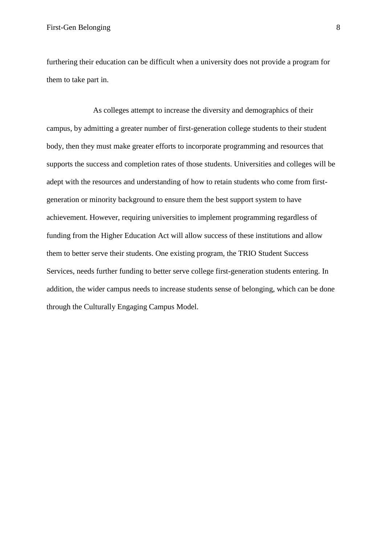furthering their education can be difficult when a university does not provide a program for them to take part in.

As colleges attempt to increase the diversity and demographics of their campus, by admitting a greater number of first-generation college students to their student body, then they must make greater efforts to incorporate programming and resources that supports the success and completion rates of those students. Universities and colleges will be adept with the resources and understanding of how to retain students who come from firstgeneration or minority background to ensure them the best support system to have achievement. However, requiring universities to implement programming regardless of funding from the Higher Education Act will allow success of these institutions and allow them to better serve their students. One existing program, the TRIO Student Success Services, needs further funding to better serve college first-generation students entering. In addition, the wider campus needs to increase students sense of belonging, which can be done through the Culturally Engaging Campus Model.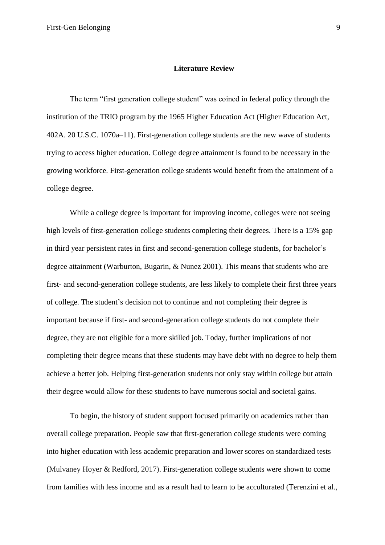#### **Literature Review**

The term "first generation college student" was coined in federal policy through the institution of the TRIO program by the 1965 Higher Education Act (Higher Education Act, 402A. 20 U.S.C. 1070a–11). First-generation college students are the new wave of students trying to access higher education. College degree attainment is found to be necessary in the growing workforce. First-generation college students would benefit from the attainment of a college degree.

While a college degree is important for improving income, colleges were not seeing high levels of first-generation college students completing their degrees. There is a 15% gap in third year persistent rates in first and second-generation college students, for bachelor's degree attainment (Warburton, Bugarin, & Nunez 2001). This means that students who are first- and second-generation college students, are less likely to complete their first three years of college. The student's decision not to continue and not completing their degree is important because if first- and second-generation college students do not complete their degree, they are not eligible for a more skilled job. Today, further implications of not completing their degree means that these students may have debt with no degree to help them achieve a better job. Helping first-generation students not only stay within college but attain their degree would allow for these students to have numerous social and societal gains.

To begin, the history of student support focused primarily on academics rather than overall college preparation. People saw that first-generation college students were coming into higher education with less academic preparation and lower scores on standardized tests (Mulvaney Hoyer & Redford, 2017). First-generation college students were shown to come from families with less income and as a result had to learn to be acculturated (Terenzini et al.,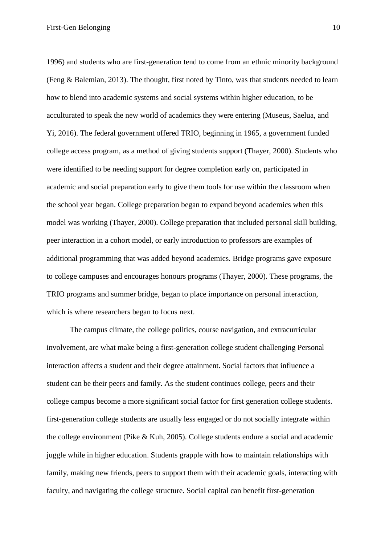1996) and students who are first-generation tend to come from an ethnic minority background (Feng & Balemian, 2013). The thought, first noted by Tinto, was that students needed to learn how to blend into academic systems and social systems within higher education, to be acculturated to speak the new world of academics they were entering (Museus, Saelua, and Yi, 2016). The federal government offered TRIO, beginning in 1965, a government funded college access program, as a method of giving students support (Thayer, 2000). Students who were identified to be needing support for degree completion early on, participated in academic and social preparation early to give them tools for use within the classroom when the school year began. College preparation began to expand beyond academics when this model was working (Thayer, 2000). College preparation that included personal skill building, peer interaction in a cohort model, or early introduction to professors are examples of additional programming that was added beyond academics. Bridge programs gave exposure to college campuses and encourages honours programs (Thayer, 2000). These programs, the TRIO programs and summer bridge, began to place importance on personal interaction, which is where researchers began to focus next.

The campus climate, the college politics, course navigation, and extracurricular involvement, are what make being a first-generation college student challenging Personal interaction affects a student and their degree attainment. Social factors that influence a student can be their peers and family. As the student continues college, peers and their college campus become a more significant social factor for first generation college students. first-generation college students are usually less engaged or do not socially integrate within the college environment (Pike  $& Kuh, 2005$ ). College students endure a social and academic juggle while in higher education. Students grapple with how to maintain relationships with family, making new friends, peers to support them with their academic goals, interacting with faculty, and navigating the college structure. Social capital can benefit first-generation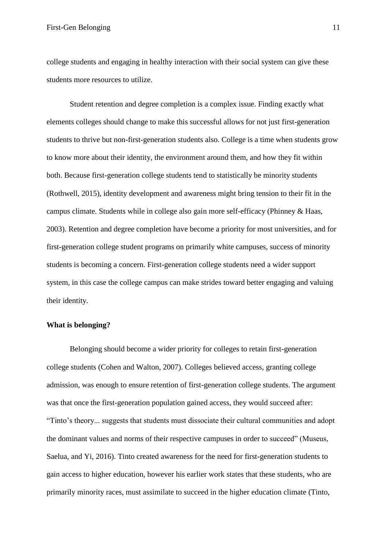college students and engaging in healthy interaction with their social system can give these students more resources to utilize.

Student retention and degree completion is a complex issue. Finding exactly what elements colleges should change to make this successful allows for not just first-generation students to thrive but non-first-generation students also. College is a time when students grow to know more about their identity, the environment around them, and how they fit within both. Because first-generation college students tend to statistically be minority students (Rothwell, 2015), identity development and awareness might bring tension to their fit in the campus climate. Students while in college also gain more self-efficacy (Phinney & Haas, 2003). Retention and degree completion have become a priority for most universities, and for first-generation college student programs on primarily white campuses, success of minority students is becoming a concern. First-generation college students need a wider support system, in this case the college campus can make strides toward better engaging and valuing their identity.

#### What is belonging?

Belonging should become a wider priority for colleges to retain first-generation college students (Cohen and Walton, 2007). Colleges believed access, granting college admission, was enough to ensure retention of first-generation college students. The argument was that once the first-generation population gained access, they would succeed after: "Tinto's theory... suggests that students must dissociate their cultural communities and adopt the dominant values and norms of their respective campuses in order to succeed" (Museus, Saelua, and Yi, 2016). Tinto created awareness for the need for first-generation students to gain access to higher education, however his earlier work states that these students, who are primarily minority races, must assimilate to succeed in the higher education climate (Tinto,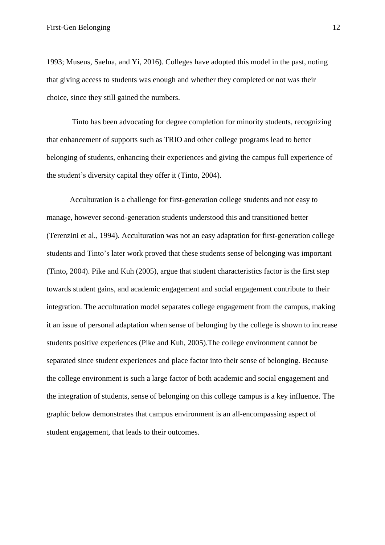1993; Museus, Saelua, and Yi, 2016). Colleges have adopted this model in the past, noting that giving access to students was enough and whether they completed or not was their choice, since they still gained the numbers.

Tinto has been advocating for degree completion for minority students, recognizing that enhancement of supports such as TRIO and other college programs lead to better belonging of students, enhancing their experiences and giving the campus full experience of the student's diversity capital they offer it (Tinto, 2004).

Acculturation is a challenge for first-generation college students and not easy to manage, however second-generation students understood this and transitioned better (Terenzini et al., 1994). Acculturation was not an easy adaptation for first-generation college students and Tinto's later work proved that these students sense of belonging was important (Tinto, 2004). Pike and Kuh (2005), argue that student characteristics factor is the first step towards student gains, and academic engagement and social engagement contribute to their integration. The acculturation model separates college engagement from the campus, making it an issue of personal adaptation when sense of belonging by the college is shown to increase students positive experiences (Pike and Kuh, 2005). The college environment cannot be separated since student experiences and place factor into their sense of belonging. Because the college environment is such a large factor of both academic and social engagement and the integration of students, sense of belonging on this college campus is a key influence. The graphic below demonstrates that campus environment is an all-encompassing aspect of student engagement, that leads to their outcomes.

12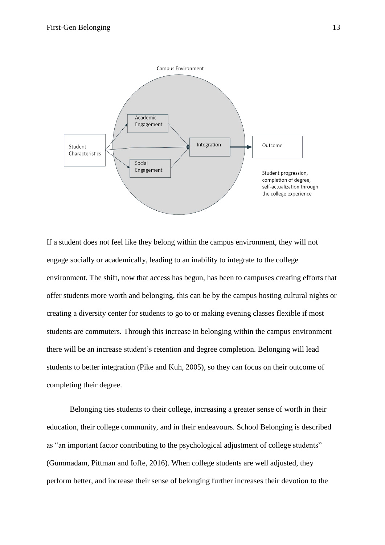

If a student does not feel like they belong within the campus environment, they will not engage socially or academically, leading to an inability to integrate to the college environment. The shift, now that access has begun, has been to campuses creating efforts that offer students more worth and belonging, this can be by the campus hosting cultural nights or creating a diversity center for students to go to or making evening classes flexible if most students are commuters. Through this increase in belonging within the campus environment there will be an increase student's retention and degree completion. Belonging will lead students to better integration (Pike and Kuh, 2005), so they can focus on their outcome of completing their degree.

Belonging ties students to their college, increasing a greater sense of worth in their education, their college community, and in their endeavours. School Belonging is described as "an important factor contributing to the psychological adjustment of college students" (Gummadam, Pittman and Ioffe, 2016). When college students are well adjusted, they perform better, and increase their sense of belonging further increases their devotion to the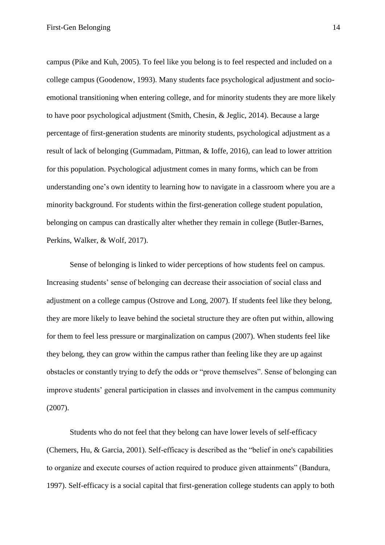campus (Pike and Kuh, 2005). To feel like you belong is to feel respected and included on a college campus (Goodenow, 1993). Many students face psychological adjustment and socioemotional transitioning when entering college, and for minority students they are more likely to have poor psychological adjustment (Smith, Chesin, & Jeglic, 2014). Because a large percentage of first-generation students are minority students, psychological adjustment as a result of lack of belonging (Gummadam, Pittman, & Ioffe, 2016), can lead to lower attrition for this population. Psychological adjustment comes in many forms, which can be from understanding one's own identity to learning how to navigate in a classroom where you are a minority background. For students within the first-generation college student population, belonging on campus can drastically alter whether they remain in college (Butler-Barnes, Perkins, Walker, & Wolf, 2017).

Sense of belonging is linked to wider perceptions of how students feel on campus. Increasing students' sense of belonging can decrease their association of social class and adjustment on a college campus (Ostrove and Long, 2007). If students feel like they belong, they are more likely to leave behind the societal structure they are often put within, allowing for them to feel less pressure or marginalization on campus (2007). When students feel like they belong, they can grow within the campus rather than feeling like they are up against obstacles or constantly trying to defy the odds or "prove themselves". Sense of belonging can improve students' general participation in classes and involvement in the campus community  $(2007).$ 

Students who do not feel that they belong can have lower levels of self-efficacy (Chemers, Hu. & Garcia, 2001). Self-efficacy is described as the "belief in one's capabilities to organize and execute courses of action required to produce given attainments" (Bandura, 1997). Self-efficacy is a social capital that first-generation college students can apply to both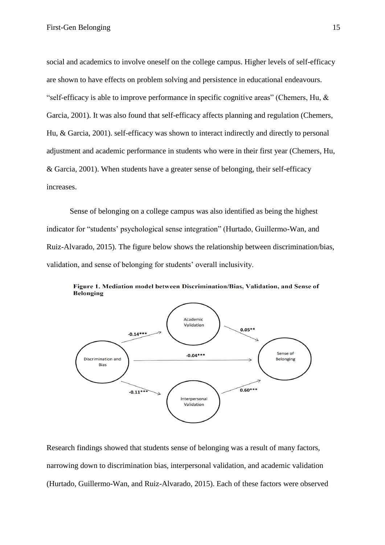social and academics to involve oneself on the college campus. Higher levels of self-efficacy are shown to have effects on problem solving and persistence in educational endeavours. "self-efficacy is able to improve performance in specific cognitive areas" (Chemers, Hu, & Garcia, 2001). It was also found that self-efficacy affects planning and regulation (Chemers, Hu, & Garcia, 2001). self-efficacy was shown to interact indirectly and directly to personal adjustment and academic performance in students who were in their first year (Chemers, Hu, & Garcia, 2001). When students have a greater sense of belonging, their self-efficacy increases.

Sense of belonging on a college campus was also identified as being the highest indicator for "students' psychological sense integration" (Hurtado, Guillermo-Wan, and Ruiz-Alvarado, 2015). The figure below shows the relationship between discrimination/bias, validation, and sense of belonging for students' overall inclusivity.



Figure 1. Mediation model between Discrimination/Bias, Validation, and Sense of Belonging

Research findings showed that students sense of belonging was a result of many factors, narrowing down to discrimination bias, interpersonal validation, and academic validation (Hurtado, Guillermo-Wan, and Ruiz-Alvarado, 2015). Each of these factors were observed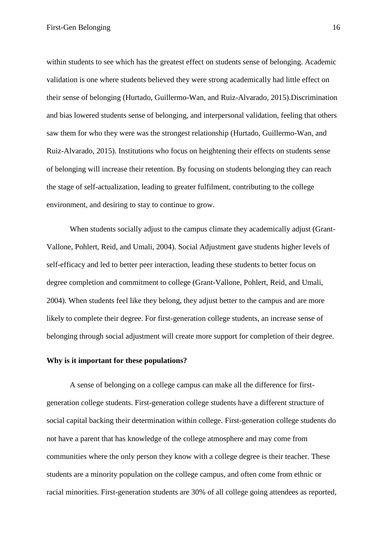within students to see which has the greatest effect on students sense of belonging. Academic validation is one where students believed they were strong academically had little effect on their sense of belonging (Hurtado, Guillermo-Wan, and Ruiz-Alvarado, 2015). Discrimination and bias lowered students sense of belonging, and interpersonal validation, feeling that others saw them for who they were was the strongest relationship (Hurtado, Guillermo-Wan, and Ruiz-Alvarado, 2015). Institutions who focus on heightening their effects on students sense of belonging will increase their retention. By focusing on students belonging they can reach the stage of self-actualization, leading to greater fulfilment, contributing to the college environment, and desiring to stay to continue to grow.

When students socially adjust to the campus climate they academically adjust (Grant-Vallone, Pohlert, Reid, and Umali, 2004). Social Adjustment gave students higher levels of self-efficacy and led to better peer interaction, leading these students to better focus on degree completion and commitment to college (Grant-Vallone, Pohlert, Reid, and Umali, 2004). When students feel like they belong, they adjust better to the campus and are more likely to complete their degree. For first-generation college students, an increase sense of belonging through social adjustment will create more support for completion of their degree.

## Why is it important for these populations?

A sense of belonging on a college campus can make all the difference for firstgeneration college students. First-generation college students have a different structure of social capital backing their determination within college. First-generation college students do not have a parent that has knowledge of the college atmosphere and may come from communities where the only person they know with a college degree is their teacher. These students are a minority population on the college campus, and often come from ethnic or racial minorities. First-generation students are 30% of all college going attendees as reported,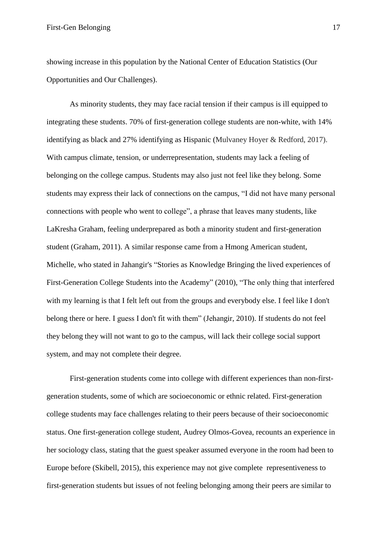showing increase in this population by the National Center of Education Statistics (Our Opportunities and Our Challenges).

As minority students, they may face racial tension if their campus is ill equipped to integrating these students. 70% of first-generation college students are non-white, with 14% identifying as black and 27% identifying as Hispanic (Mulvaney Hover & Redford, 2017). With campus climate, tension, or underrepresentation, students may lack a feeling of belonging on the college campus. Students may also just not feel like they belong. Some students may express their lack of connections on the campus, "I did not have many personal connections with people who went to college", a phrase that leaves many students, like LaKresha Graham, feeling underprepared as both a minority student and first-generation student (Graham, 2011). A similar response came from a Hmong American student, Michelle, who stated in Jahangir's "Stories as Knowledge Bringing the lived experiences of First-Generation College Students into the Academy" (2010), "The only thing that interfered with my learning is that I felt left out from the groups and everybody else. I feel like I don't belong there or here. I guess I don't fit with them" (Jehangir, 2010). If students do not feel they belong they will not want to go to the campus, will lack their college social support system, and may not complete their degree.

First-generation students come into college with different experiences than non-firstgeneration students, some of which are socioeconomic or ethnic related. First-generation college students may face challenges relating to their peers because of their socioeconomic status. One first-generation college student, Audrey Olmos-Govea, recounts an experience in her sociology class, stating that the guest speaker assumed everyone in the room had been to Europe before (Skibell, 2015), this experience may not give complete representiveness to first-generation students but issues of not feeling belonging among their peers are similar to

17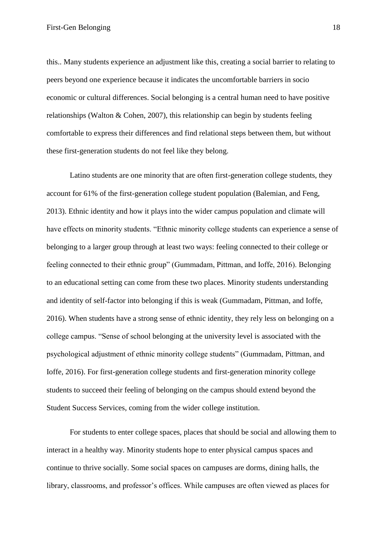First-Gen Belonging

this... Many students experience an adjustment like this, creating a social barrier to relating to peers beyond one experience because it indicates the uncomfortable barriers in socio economic or cultural differences. Social belonging is a central human need to have positive relationships (Walton & Cohen, 2007), this relationship can begin by students feeling comfortable to express their differences and find relational steps between them, but without these first-generation students do not feel like they belong.

Latino students are one minority that are often first-generation college students, they account for 61% of the first-generation college student population (Balemian, and Feng, 2013). Ethnic identity and how it plays into the wider campus population and climate will have effects on minority students. "Ethnic minority college students can experience a sense of belonging to a larger group through at least two ways: feeling connected to their college or feeling connected to their ethnic group" (Gummadam, Pittman, and Ioffe, 2016). Belonging to an educational setting can come from these two places. Minority students understanding and identity of self-factor into belonging if this is weak (Gummadam, Pittman, and Ioffe, 2016). When students have a strong sense of ethnic identity, they rely less on belonging on a college campus. "Sense of school belonging at the university level is associated with the psychological adjustment of ethnic minority college students" (Gummadam, Pittman, and Ioffe, 2016). For first-generation college students and first-generation minority college students to succeed their feeling of belonging on the campus should extend beyond the Student Success Services, coming from the wider college institution.

For students to enter college spaces, places that should be social and allowing them to interact in a healthy way. Minority students hope to enter physical campus spaces and continue to thrive socially. Some social spaces on campuses are dorms, dining halls, the library, classrooms, and professor's offices. While campuses are often viewed as places for

18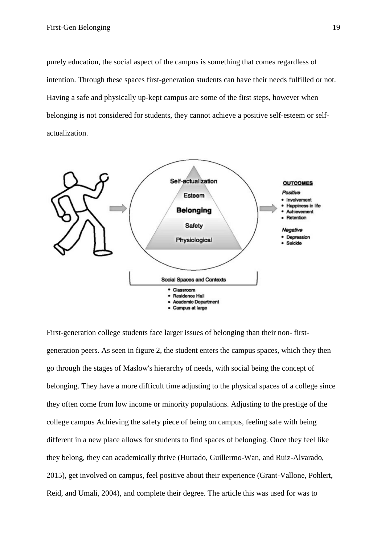purely education, the social aspect of the campus is something that comes regardless of intention. Through these spaces first-generation students can have their needs fulfilled or not. Having a safe and physically up-kept campus are some of the first steps, however when belonging is not considered for students, they cannot achieve a positive self-esteem or selfactualization.



First-generation college students face larger issues of belonging than their non-firstgeneration peers. As seen in figure 2, the student enters the campus spaces, which they then go through the stages of Maslow's hierarchy of needs, with social being the concept of belonging. They have a more difficult time adjusting to the physical spaces of a college since they often come from low income or minority populations. Adjusting to the prestige of the college campus Achieving the safety piece of being on campus, feeling safe with being different in a new place allows for students to find spaces of belonging. Once they feel like they belong, they can academically thrive (Hurtado, Guillermo-Wan, and Ruiz-Alvarado, 2015), get involved on campus, feel positive about their experience (Grant-Vallone, Pohlert, Reid, and Umali, 2004), and complete their degree. The article this was used for was to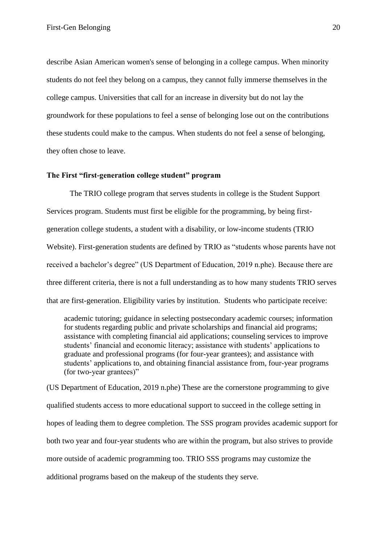describe Asian American women's sense of belonging in a college campus. When minority students do not feel they belong on a campus, they cannot fully immerse themselves in the college campus. Universities that call for an increase in diversity but do not lay the groundwork for these populations to feel a sense of belonging lose out on the contributions these students could make to the campus. When students do not feel a sense of belonging, they often chose to leave.

#### The First "first-generation college student" program

The TRIO college program that serves students in college is the Student Support Services program. Students must first be eligible for the programming, by being firstgeneration college students, a student with a disability, or low-income students (TRIO Website). First-generation students are defined by TRIO as "students whose parents have not received a bachelor's degree" (US Department of Education, 2019 n.phe). Because there are three different criteria, there is not a full understanding as to how many students TRIO serves that are first-generation. Eligibility varies by institution. Students who participate receive:

academic tutoring; guidance in selecting postsecondary academic courses; information for students regarding public and private scholarships and financial aid programs; assistance with completing financial aid applications; counseling services to improve students' financial and economic literacy; assistance with students' applications to graduate and professional programs (for four-year grantees); and assistance with students' applications to, and obtaining financial assistance from, four-year programs (for two-year grantees)"

(US Department of Education, 2019 n.phe) These are the cornerstone programming to give qualified students access to more educational support to succeed in the college setting in hopes of leading them to degree completion. The SSS program provides academic support for both two year and four-year students who are within the program, but also strives to provide more outside of academic programming too. TRIO SSS programs may customize the additional programs based on the makeup of the students they serve.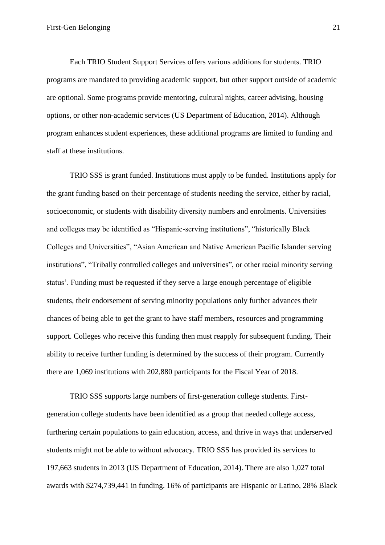Each TRIO Student Support Services offers various additions for students. TRIO programs are mandated to providing academic support, but other support outside of academic are optional. Some programs provide mentoring, cultural nights, career advising, housing options, or other non-academic services (US Department of Education, 2014). Although program enhances student experiences, these additional programs are limited to funding and staff at these institutions.

TRIO SSS is grant funded. Institutions must apply to be funded. Institutions apply for the grant funding based on their percentage of students needing the service, either by racial, socioeconomic, or students with disability diversity numbers and enrolments. Universities and colleges may be identified as "Hispanic-serving institutions", "historically Black" Colleges and Universities", "Asian American and Native American Pacific Islander serving institutions", "Tribally controlled colleges and universities", or other racial minority serving status'. Funding must be requested if they serve a large enough percentage of eligible students, their endorsement of serving minority populations only further advances their chances of being able to get the grant to have staff members, resources and programming support. Colleges who receive this funding then must reapply for subsequent funding. Their ability to receive further funding is determined by the success of their program. Currently there are 1,069 institutions with 202,880 participants for the Fiscal Year of 2018.

TRIO SSS supports large numbers of first-generation college students. Firstgeneration college students have been identified as a group that needed college access, furthering certain populations to gain education, access, and thrive in ways that underserved students might not be able to without advocacy. TRIO SSS has provided its services to 197,663 students in 2013 (US Department of Education, 2014). There are also 1,027 total awards with \$274,739,441 in funding. 16% of participants are Hispanic or Latino, 28% Black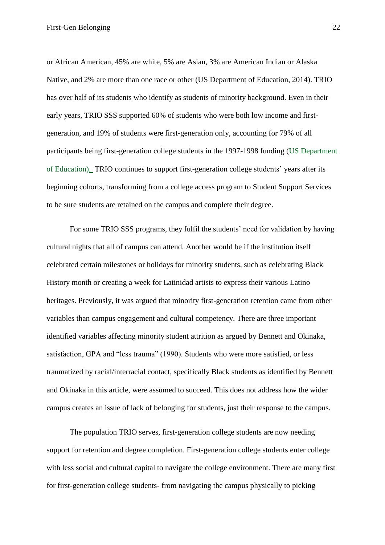or African American, 45% are white, 5% are Asian, 3% are American Indian or Alaska Native, and 2% are more than one race or other (US Department of Education, 2014). TRIO has over half of its students who identify as students of minority background. Even in their early years, TRIO SSS supported 60% of students who were both low income and firstgeneration, and 19% of students were first-generation only, accounting for 79% of all participants being first-generation college students in the 1997-1998 funding (US Department of Education). TRIO continues to support first-generation college students' years after its beginning cohorts, transforming from a college access program to Student Support Services to be sure students are retained on the campus and complete their degree.

For some TRIO SSS programs, they fulfil the students' need for validation by having cultural nights that all of campus can attend. Another would be if the institution itself celebrated certain milestones or holidays for minority students, such as celebrating Black History month or creating a week for Latinidad artists to express their various Latino heritages. Previously, it was argued that minority first-generation retention came from other variables than campus engagement and cultural competency. There are three important identified variables affecting minority student attrition as argued by Bennett and Okinaka, satisfaction, GPA and "less trauma" (1990). Students who were more satisfied, or less traumatized by racial/interracial contact, specifically Black students as identified by Bennett and Okinaka in this article, were assumed to succeed. This does not address how the wider campus creates an issue of lack of belonging for students, just their response to the campus.

The population TRIO serves, first-generation college students are now needing support for retention and degree completion. First-generation college students enter college with less social and cultural capital to navigate the college environment. There are many first for first-generation college students-from navigating the campus physically to picking

22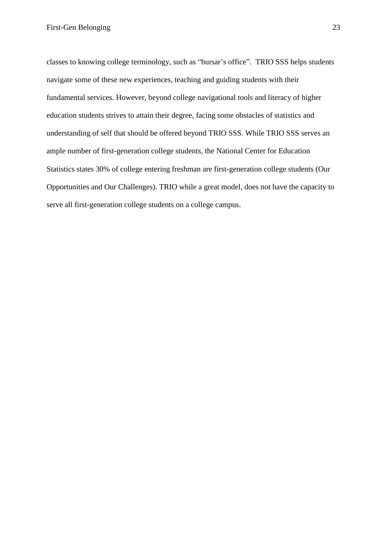classes to knowing college terminology, such as "bursar's office". TRIO SSS helps students navigate some of these new experiences, teaching and guiding students with their fundamental services. However, beyond college navigational tools and literacy of higher education students strives to attain their degree, facing some obstacles of statistics and understanding of self that should be offered beyond TRIO SSS. While TRIO SSS serves an ample number of first-generation college students, the National Center for Education Statistics states 30% of college entering freshman are first-generation college students (Our Opportunities and Our Challenges). TRIO while a great model, does not have the capacity to serve all first-generation college students on a college campus.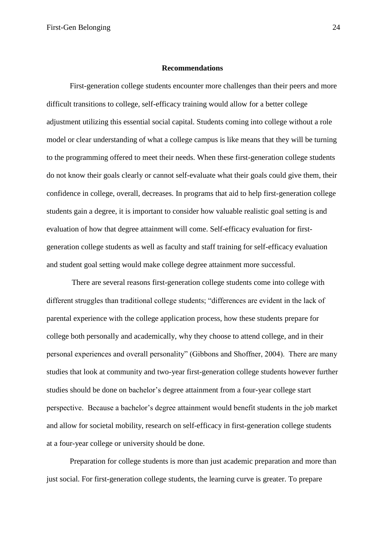#### **Recommendations**

First-generation college students encounter more challenges than their peers and more difficult transitions to college, self-efficacy training would allow for a better college adjustment utilizing this essential social capital. Students coming into college without a role model or clear understanding of what a college campus is like means that they will be turning to the programming offered to meet their needs. When these first-generation college students do not know their goals clearly or cannot self-evaluate what their goals could give them, their confidence in college, overall, decreases. In programs that aid to help first-generation college students gain a degree, it is important to consider how valuable realistic goal setting is and evaluation of how that degree attainment will come. Self-efficacy evaluation for firstgeneration college students as well as faculty and staff training for self-efficacy evaluation and student goal setting would make college degree attainment more successful.

There are several reasons first-generation college students come into college with different struggles than traditional college students; "differences are evident in the lack of parental experience with the college application process, how these students prepare for college both personally and academically, why they choose to attend college, and in their personal experiences and overall personality" (Gibbons and Shoffner, 2004). There are many studies that look at community and two-year first-generation college students however further studies should be done on bachelor's degree attainment from a four-year college start perspective. Because a bachelor's degree attainment would benefit students in the job market and allow for societal mobility, research on self-efficacy in first-generation college students at a four-year college or university should be done.

Preparation for college students is more than just academic preparation and more than just social. For first-generation college students, the learning curve is greater. To prepare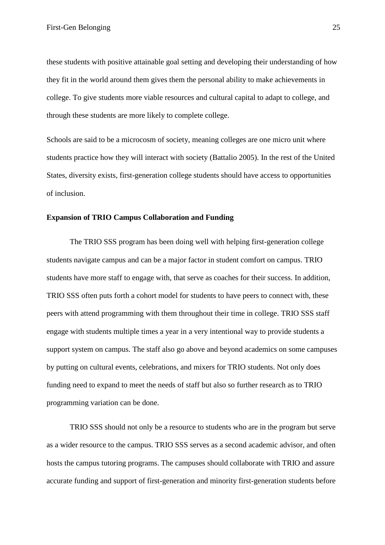these students with positive attainable goal setting and developing their understanding of how they fit in the world around them gives them the personal ability to make achievements in college. To give students more viable resources and cultural capital to adapt to college, and through these students are more likely to complete college.

Schools are said to be a microcosm of society, meaning colleges are one micro unit where students practice how they will interact with society (Battalio 2005). In the rest of the United States, diversity exists, first-generation college students should have access to opportunities of inclusion.

## **Expansion of TRIO Campus Collaboration and Funding**

The TRIO SSS program has been doing well with helping first-generation college students navigate campus and can be a major factor in student comfort on campus. TRIO students have more staff to engage with, that serve as coaches for their success. In addition, TRIO SSS often puts forth a cohort model for students to have peers to connect with, these peers with attend programming with them throughout their time in college. TRIO SSS staff engage with students multiple times a year in a very intentional way to provide students a support system on campus. The staff also go above and beyond academics on some campuses by putting on cultural events, celebrations, and mixers for TRIO students. Not only does funding need to expand to meet the needs of staff but also so further research as to TRIO programming variation can be done.

TRIO SSS should not only be a resource to students who are in the program but serve as a wider resource to the campus. TRIO SSS serves as a second academic advisor, and often hosts the campus tutoring programs. The campuses should collaborate with TRIO and assure accurate funding and support of first-generation and minority first-generation students before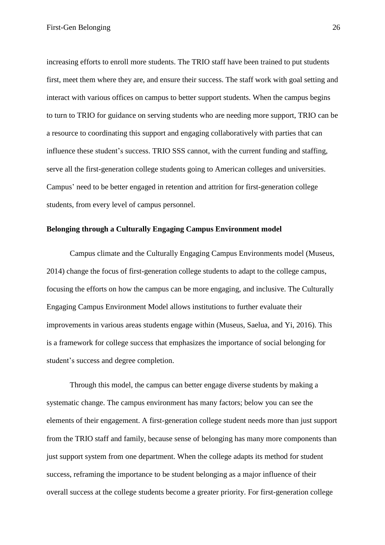increasing efforts to enroll more students. The TRIO staff have been trained to put students first, meet them where they are, and ensure their success. The staff work with goal setting and interact with various offices on campus to better support students. When the campus begins to turn to TRIO for guidance on serving students who are needing more support, TRIO can be a resource to coordinating this support and engaging collaboratively with parties that can influence these student's success. TRIO SSS cannot, with the current funding and staffing, serve all the first-generation college students going to American colleges and universities. Campus' need to be better engaged in retention and attrition for first-generation college students, from every level of campus personnel.

#### Belonging through a Culturally Engaging Campus Environment model

Campus climate and the Culturally Engaging Campus Environments model (Museus, 2014) change the focus of first-generation college students to adapt to the college campus, focusing the efforts on how the campus can be more engaging, and inclusive. The Culturally Engaging Campus Environment Model allows institutions to further evaluate their improvements in various areas students engage within (Museus, Saelua, and Yi, 2016). This is a framework for college success that emphasizes the importance of social belonging for student's success and degree completion.

Through this model, the campus can better engage diverse students by making a systematic change. The campus environment has many factors; below you can see the elements of their engagement. A first-generation college student needs more than just support from the TRIO staff and family, because sense of belonging has many more components than just support system from one department. When the college adapts its method for student success, reframing the importance to be student belonging as a major influence of their overall success at the college students become a greater priority. For first-generation college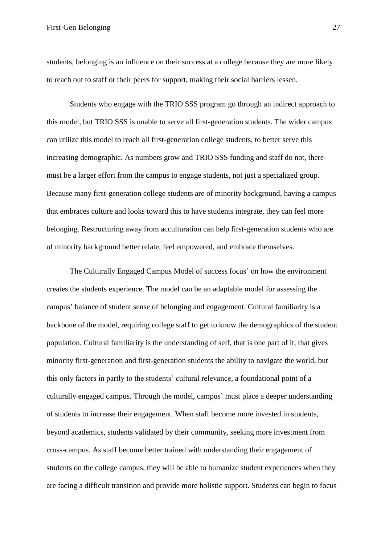students, belonging is an influence on their success at a college because they are more likely to reach out to staff or their peers for support, making their social barriers lessen.

Students who engage with the TRIO SSS program go through an indirect approach to this model, but TRIO SSS is unable to serve all first-generation students. The wider campus can utilize this model to reach all first-generation college students, to better serve this increasing demographic. As numbers grow and TRIO SSS funding and staff do not, there must be a larger effort from the campus to engage students, not just a specialized group. Because many first-generation college students are of minority background, having a campus that embraces culture and looks toward this to have students integrate, they can feel more belonging. Restructuring away from acculturation can help first-generation students who are of minority background better relate, feel empowered, and embrace themselves.

The Culturally Engaged Campus Model of success focus' on how the environment creates the students experience. The model can be an adaptable model for assessing the campus' balance of student sense of belonging and engagement. Cultural familiarity is a backbone of the model, requiring college staff to get to know the demographics of the student population. Cultural familiarity is the understanding of self, that is one part of it, that gives minority first-generation and first-generation students the ability to navigate the world, but this only factors in partly to the students' cultural relevance, a foundational point of a culturally engaged campus. Through the model, campus' must place a deeper understanding of students to increase their engagement. When staff become more invested in students, beyond academics, students validated by their community, seeking more investment from cross-campus. As staff become better trained with understanding their engagement of students on the college campus, they will be able to humanize student experiences when they are facing a difficult transition and provide more holistic support. Students can begin to focus

27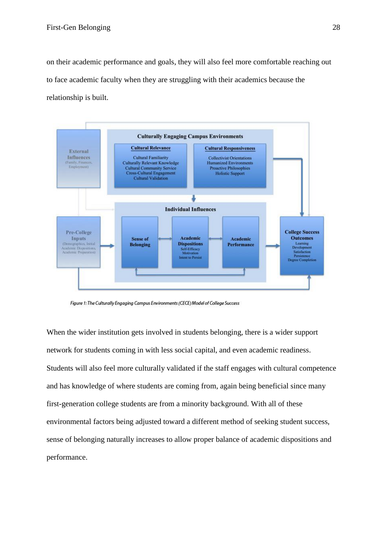on their academic performance and goals, they will also feel more comfortable reaching out to face academic faculty when they are struggling with their academics because the relationship is built.



Figure 1: The Culturally Engaging Campus Environments (CECE) Model of College Success

When the wider institution gets involved in students belonging, there is a wider support network for students coming in with less social capital, and even academic readiness. Students will also feel more culturally validated if the staff engages with cultural competence and has knowledge of where students are coming from, again being beneficial since many first-generation college students are from a minority background. With all of these environmental factors being adjusted toward a different method of seeking student success, sense of belonging naturally increases to allow proper balance of academic dispositions and performance.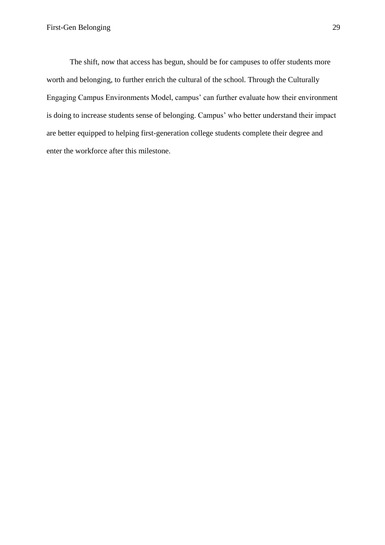The shift, now that access has begun, should be for campuses to offer students more worth and belonging, to further enrich the cultural of the school. Through the Culturally Engaging Campus Environments Model, campus' can further evaluate how their environment is doing to increase students sense of belonging. Campus' who better understand their impact are better equipped to helping first-generation college students complete their degree and enter the workforce after this milestone.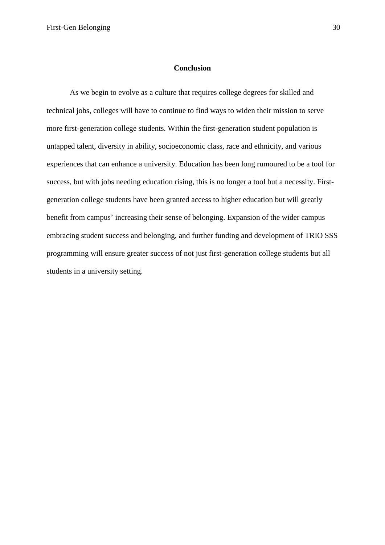#### **Conclusion**

As we begin to evolve as a culture that requires college degrees for skilled and technical jobs, colleges will have to continue to find ways to widen their mission to serve more first-generation college students. Within the first-generation student population is untapped talent, diversity in ability, socioeconomic class, race and ethnicity, and various experiences that can enhance a university. Education has been long rumoured to be a tool for success, but with jobs needing education rising, this is no longer a tool but a necessity. Firstgeneration college students have been granted access to higher education but will greatly benefit from campus' increasing their sense of belonging. Expansion of the wider campus embracing student success and belonging, and further funding and development of TRIO SSS programming will ensure greater success of not just first-generation college students but all students in a university setting.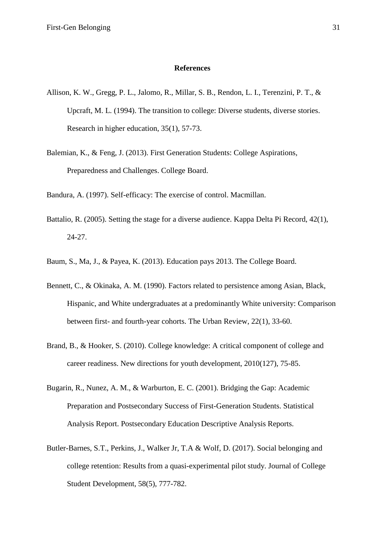#### **References**

- Allison, K. W., Gregg, P. L., Jalomo, R., Millar, S. B., Rendon, L. I., Terenzini, P. T., & Upcraft, M. L. (1994). The transition to college: Diverse students, diverse stories. Research in higher education, 35(1), 57-73.
- Balemian, K., & Feng, J. (2013). First Generation Students: College Aspirations, Preparedness and Challenges. College Board.

Bandura, A. (1997). Self-efficacy: The exercise of control. Macmillan.

- Battalio, R. (2005). Setting the stage for a diverse audience. Kappa Delta Pi Record, 42(1),  $24-27.$
- Baum, S., Ma, J., & Payea, K. (2013). Education pays 2013. The College Board.
- Bennett, C., & Okinaka, A. M. (1990). Factors related to persistence among Asian, Black, Hispanic, and White undergraduates at a predominantly White university: Comparison between first- and fourth-year cohorts. The Urban Review, 22(1), 33-60.
- Brand, B., & Hooker, S. (2010). College knowledge: A critical component of college and career readiness. New directions for youth development, 2010(127), 75-85.
- Bugarin, R., Nunez, A. M., & Warburton, E. C. (2001). Bridging the Gap: Academic Preparation and Postsecondary Success of First-Generation Students. Statistical Analysis Report. Postsecondary Education Descriptive Analysis Reports.
- Butler-Barnes, S.T., Perkins, J., Walker Jr, T.A & Wolf, D. (2017). Social belonging and college retention: Results from a quasi-experimental pilot study. Journal of College Student Development, 58(5), 777-782.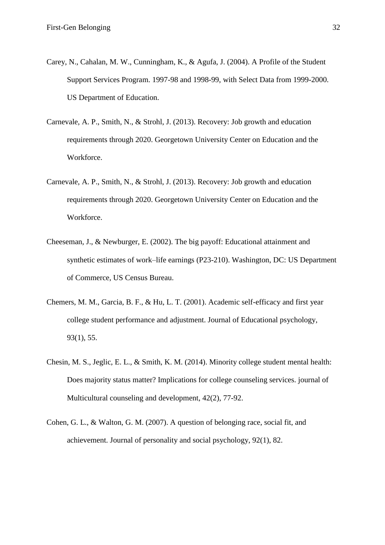- Carey, N., Cahalan, M. W., Cunningham, K., & Agufa, J. (2004). A Profile of the Student Support Services Program. 1997-98 and 1998-99, with Select Data from 1999-2000. US Department of Education.
- Carnevale, A. P., Smith, N., & Strohl, J. (2013). Recovery: Job growth and education requirements through 2020. Georgetown University Center on Education and the Workforce.
- Carnevale, A. P., Smith, N., & Strohl, J. (2013). Recovery: Job growth and education requirements through 2020. Georgetown University Center on Education and the Workforce.
- Cheeseman, J., & Newburger, E. (2002). The big payoff: Educational attainment and synthetic estimates of work–life earnings (P23-210). Washington, DC: US Department of Commerce, US Census Bureau.
- Chemers, M. M., Garcia, B. F., & Hu, L. T. (2001). Academic self-efficacy and first year college student performance and adjustment. Journal of Educational psychology,  $93(1), 55.$
- Chesin, M. S., Jeglic, E. L., & Smith, K. M. (2014). Minority college student mental health: Does majority status matter? Implications for college counseling services, journal of Multicultural counseling and development, 42(2), 77-92.
- Cohen, G. L., & Walton, G. M. (2007). A question of belonging race, social fit, and achievement. Journal of personality and social psychology, 92(1), 82.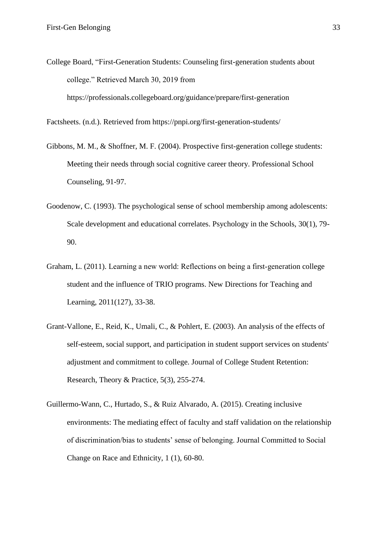College Board, "First-Generation Students: Counseling first-generation students about college." Retrieved March 30, 2019 from https://professionals.collegeboard.org/guidance/prepare/first-generation

Factsheets. (n.d.). Retrieved from https://pnpi.org/first-generation-students/

- Gibbons, M. M., & Shoffner, M. F. (2004). Prospective first-generation college students: Meeting their needs through social cognitive career theory. Professional School Counseling, 91-97.
- Goodenow, C. (1993). The psychological sense of school membership among adolescents: Scale development and educational correlates. Psychology in the Schools, 30(1), 79-90.
- Graham, L. (2011). Learning a new world: Reflections on being a first-generation college student and the influence of TRIO programs. New Directions for Teaching and Learning, 2011(127), 33-38.
- Grant-Vallone, E., Reid, K., Umali, C., & Pohlert, E. (2003). An analysis of the effects of self-esteem, social support, and participation in student support services on students' adjustment and commitment to college. Journal of College Student Retention: Research, Theory & Practice,  $5(3)$ ,  $255-274$ .
- Guillermo-Wann, C., Hurtado, S., & Ruiz Alvarado, A. (2015). Creating inclusive environments: The mediating effect of faculty and staff validation on the relationship of discrimination/bias to students' sense of belonging. Journal Committed to Social Change on Race and Ethnicity, 1 (1), 60-80.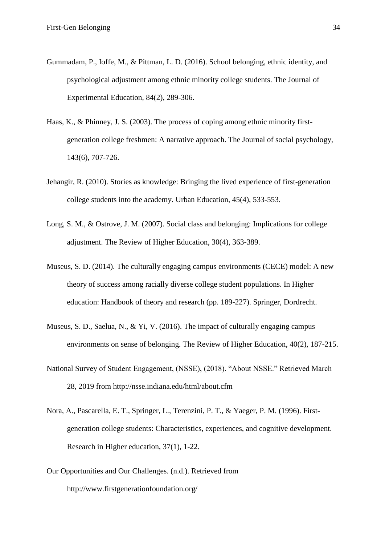- Gummadam, P., Ioffe, M., & Pittman, L. D. (2016). School belonging, ethnic identity, and psychological adjustment among ethnic minority college students. The Journal of Experimental Education, 84(2), 289-306.
- Haas, K., & Phinney, J. S. (2003). The process of coping among ethnic minority firstgeneration college freshmen: A narrative approach. The Journal of social psychology, 143(6), 707-726.
- Jehangir, R. (2010). Stories as knowledge: Bringing the lived experience of first-generation college students into the academy. Urban Education, 45(4), 533-553.
- Long, S. M., & Ostrove, J. M. (2007). Social class and belonging: Implications for college adjustment. The Review of Higher Education, 30(4), 363-389.
- Museus, S. D. (2014). The culturally engaging campus environments (CECE) model: A new theory of success among racially diverse college student populations. In Higher education: Handbook of theory and research (pp. 189-227). Springer, Dordrecht.
- Museus, S. D., Saelua, N., & Yi, V. (2016). The impact of culturally engaging campus environments on sense of belonging. The Review of Higher Education, 40(2), 187-215.
- National Survey of Student Engagement, (NSSE), (2018). "About NSSE." Retrieved March 28, 2019 from http://nsse.indiana.edu/html/about.cfm
- Nora, A., Pascarella, E. T., Springer, L., Terenzini, P. T., & Yaeger, P. M. (1996). Firstgeneration college students: Characteristics, experiences, and cognitive development. Research in Higher education, 37(1), 1-22.
- Our Opportunities and Our Challenges. (n.d.). Retrieved from http://www.firstgenerationfoundation.org/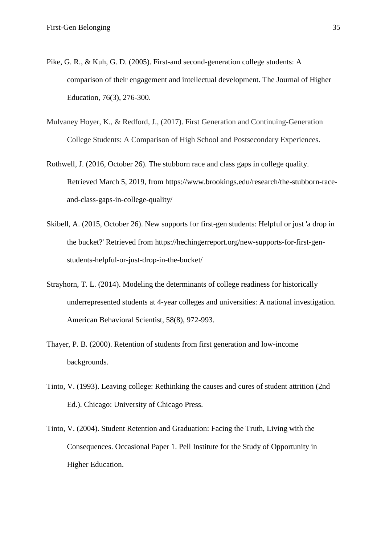- Pike, G. R., & Kuh, G. D. (2005). First-and second-generation college students: A comparison of their engagement and intellectual development. The Journal of Higher Education, 76(3), 276-300.
- Mulvaney Hoyer, K., & Redford, J., (2017). First Generation and Continuing-Generation College Students: A Comparison of High School and Postsecondary Experiences.
- Rothwell, J. (2016, October 26). The stubborn race and class gaps in college quality. Retrieved March 5, 2019, from https://www.brookings.edu/research/the-stubborn-raceand-class-gaps-in-college-quality/
- Skibell, A. (2015, October 26). New supports for first-gen students: Helpful or just 'a drop in the bucket?' Retrieved from https://hechingerreport.org/new-supports-for-first-genstudents-helpful-or-just-drop-in-the-bucket/
- Strayhorn, T. L. (2014). Modeling the determinants of college readiness for historically underrepresented students at 4-year colleges and universities: A national investigation. American Behavioral Scientist, 58(8), 972-993.
- Thayer, P. B. (2000). Retention of students from first generation and low-income backgrounds.
- Tinto, V. (1993). Leaving college: Rethinking the causes and cures of student attrition (2nd) Ed.). Chicago: University of Chicago Press.
- Tinto, V. (2004). Student Retention and Graduation: Facing the Truth, Living with the Consequences. Occasional Paper 1. Pell Institute for the Study of Opportunity in Higher Education.